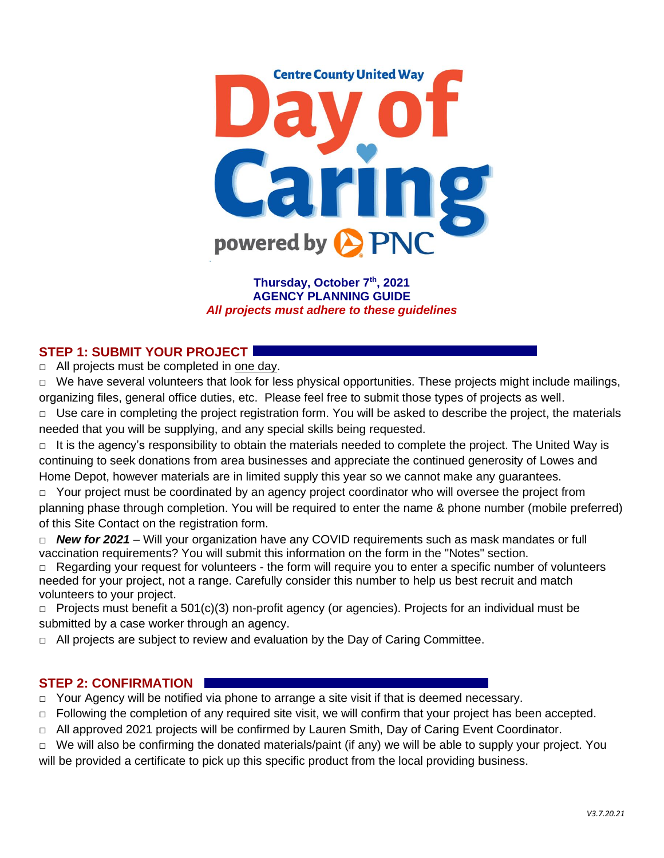

**Thursday, October 7 th, 2021 AGENCY PLANNING GUIDE** *All projects must adhere to these guidelines*

# **STEP 1: SUBMIT YOUR PROJECT**

**□** All projects must be completed in one day.

**□** We have several volunteers that look for less physical opportunities. These projects might include mailings, organizing files, general office duties, etc. Please feel free to submit those types of projects as well.

**□** Use care in completing the project registration form. You will be asked to describe the project, the materials needed that you will be supplying, and any special skills being requested.

**□** It is the agency's responsibility to obtain the materials needed to complete the project. The United Way is continuing to seek donations from area businesses and appreciate the continued generosity of Lowes and Home Depot, however materials are in limited supply this year so we cannot make any guarantees.

□ Your project must be coordinated by an agency project coordinator who will oversee the project from planning phase through completion. You will be required to enter the name & phone number (mobile preferred) of this Site Contact on the registration form.

**□** *New for 2021* – Will your organization have any COVID requirements such as mask mandates or full vaccination requirements? You will submit this information on the form in the "Notes" section.

**□** Regarding your request for volunteers - the form will require you to enter a specific number of volunteers needed for your project, not a range. Carefully consider this number to help us best recruit and match volunteers to your project.

 $\Box$  Projects must benefit a 501(c)(3) non-profit agency (or agencies). Projects for an individual must be submitted by a case worker through an agency.

 $\Box$  All projects are subject to review and evaluation by the Day of Caring Committee.

#### **STEP 2: CONFIRMATION**

 $\Box$  Your Agency will be notified via phone to arrange a site visit if that is deemed necessary.

□ Following the completion of any required site visit, we will confirm that your project has been accepted.

 $\Box$  All approved 2021 projects will be confirmed by Lauren Smith, Day of Caring Event Coordinator.

□ We will also be confirming the donated materials/paint (if any) we will be able to supply your project. You will be provided a certificate to pick up this specific product from the local providing business.